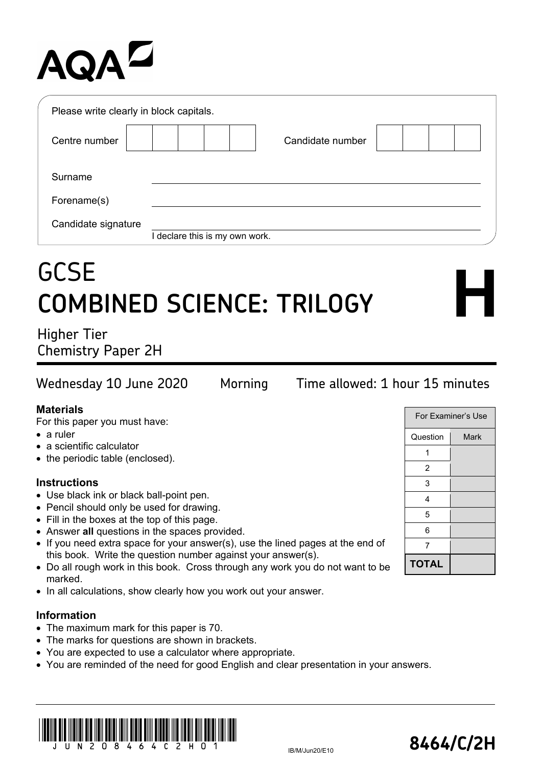# **AQAL**

| Please write clearly in block capitals. |                                |  |
|-----------------------------------------|--------------------------------|--|
| Centre number                           | Candidate number               |  |
| Surname                                 |                                |  |
| Forename(s)                             |                                |  |
| Candidate signature                     | I declare this is my own work. |  |

## **GCSE COMBINED SCIENCE: TRILOGY**

Higher Tier Chemistry Paper 2H

### Wednesday 10 June 2020 Morning Time allowed: 1 hour 15 minutes

#### **Materials**

For this paper you must have:

- a ruler
- a scientific calculator
- the periodic table (enclosed).

#### **Instructions**

- Use black ink or black ball-point pen.
- Pencil should only be used for drawing.
- Fill in the boxes at the top of this page.
- Answer **all** questions in the spaces provided.
- If you need extra space for your answer(s), use the lined pages at the end of this book. Write the question number against your answer(s).
- Do all rough work in this book. Cross through any work you do not want to be marked.
- In all calculations, show clearly how you work out your answer.

#### **Information**

- The maximum mark for this paper is 70.
- The marks for questions are shown in brackets.
- You are expected to use a calculator where appropriate.
- You are reminded of the need for good English and clear presentation in your answers.





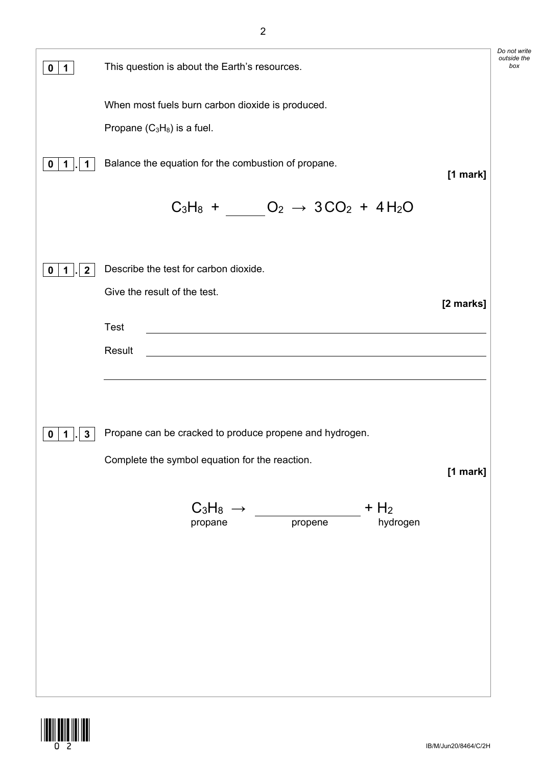| $\mathbf 0$<br>$\mathbf 1$                  | This question is about the Earth's resources.                                                                                | Do not write<br>outside the<br>box |
|---------------------------------------------|------------------------------------------------------------------------------------------------------------------------------|------------------------------------|
|                                             | When most fuels burn carbon dioxide is produced.                                                                             |                                    |
|                                             | Propane $(C_3H_8)$ is a fuel.                                                                                                |                                    |
| 0<br>1<br>1                                 | Balance the equation for the combustion of propane.<br>[1 mark]                                                              |                                    |
|                                             | $C_3H_8 + O_2 \rightarrow 3CO_2 + 4H_2O$                                                                                     |                                    |
| $\mathbf{2}$<br>$\mathbf 0$<br>$\mathbf{1}$ | Describe the test for carbon dioxide.                                                                                        |                                    |
|                                             | Give the result of the test.<br>[2 marks]                                                                                    |                                    |
|                                             | Test<br><u> 1980 - Jan Samuel Barbara, martin da shekara 1980 - An tsara 1980 - An tsara 1980 - An tsara 1980 - An tsara</u> |                                    |
|                                             | Result<br><u> 1989 - Johann Stoff, Amerikaansk politiker († 1958)</u>                                                        |                                    |
|                                             |                                                                                                                              |                                    |
| $\mathbf{3}$<br>0<br>1                      | Propane can be cracked to produce propene and hydrogen.                                                                      |                                    |
|                                             | Complete the symbol equation for the reaction.<br>[1 mark]                                                                   |                                    |
|                                             | $C_3H_8 \rightarrow$<br>$+$ H <sub>2</sub><br>$\overline{p}$ ropene<br>hydrogen<br>propane                                   |                                    |
|                                             |                                                                                                                              |                                    |
|                                             |                                                                                                                              |                                    |
|                                             |                                                                                                                              |                                    |
|                                             |                                                                                                                              |                                    |
|                                             |                                                                                                                              |                                    |
|                                             |                                                                                                                              |                                    |

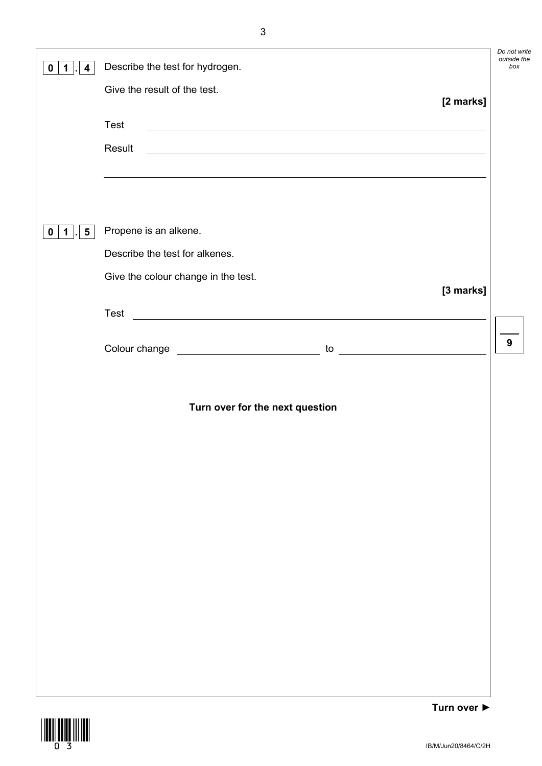| 4<br>0                   | Describe the test for hydrogen.                                                                                                                     | Do not write<br>outside the<br>box |
|--------------------------|-----------------------------------------------------------------------------------------------------------------------------------------------------|------------------------------------|
|                          | Give the result of the test.                                                                                                                        |                                    |
|                          | [2 marks]<br>Test<br>Result<br><u> 1980 - Johann Stoff, deutscher Stoffen und der Stoffen und der Stoffen und der Stoffen und der Stoffen und d</u> |                                    |
|                          | ,我们也不会有什么。""我们的人,我们也不会有什么?""我们的人,我们也不会有什么?""我们的人,我们也不会有什么?""我们的人,我们也不会有什么?""我们的人                                                                    |                                    |
|                          |                                                                                                                                                     |                                    |
| 5 <sup>5</sup><br>0<br>1 | Propene is an alkene.                                                                                                                               |                                    |
|                          | Describe the test for alkenes.                                                                                                                      |                                    |
|                          | Give the colour change in the test.<br>[3 marks]                                                                                                    |                                    |
|                          | <u> 1989 - Johann Barn, fransk politik formuler (d. 1989)</u><br>Test                                                                               |                                    |
|                          |                                                                                                                                                     | $\boldsymbol{9}$                   |
|                          |                                                                                                                                                     |                                    |
|                          | Turn over for the next question                                                                                                                     |                                    |
|                          |                                                                                                                                                     |                                    |
|                          |                                                                                                                                                     |                                    |
|                          |                                                                                                                                                     |                                    |
|                          |                                                                                                                                                     |                                    |
|                          |                                                                                                                                                     |                                    |
|                          |                                                                                                                                                     |                                    |
|                          |                                                                                                                                                     |                                    |
|                          |                                                                                                                                                     |                                    |
|                          |                                                                                                                                                     |                                    |
|                          | Turn $\alpha$ vor $\blacktriangleright$                                                                                                             |                                    |

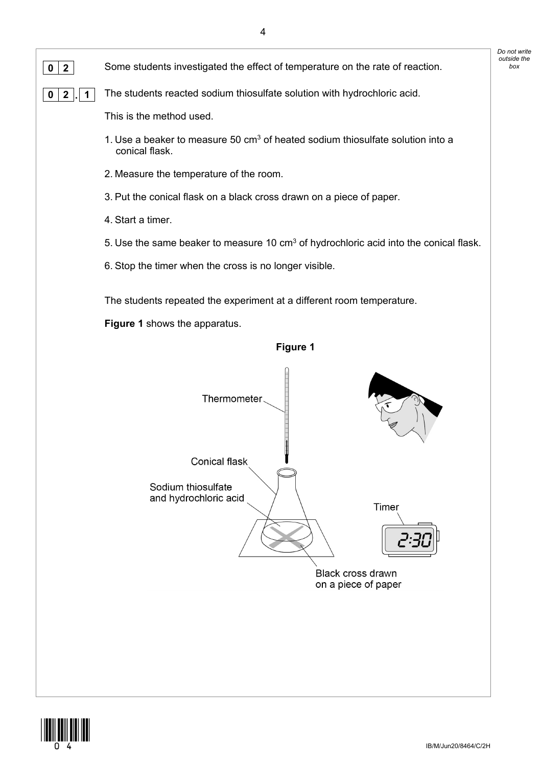

**0 2** Some students investigated the effect of temperature on the rate of reaction.

**0 2 . 1** The students reacted sodium thiosulfate solution with hydrochloric acid.

This is the method used.

- 1. Use a beaker to measure 50  $cm<sup>3</sup>$  of heated sodium thiosulfate solution into a conical flask.
- 2. Measure the temperature of the room.
- 3. Put the conical flask on a black cross drawn on a piece of paper.
- 4. Start a timer.
- 5. Use the same beaker to measure 10 cm<sup>3</sup> of hydrochloric acid into the conical flask.
- 6. Stop the timer when the cross is no longer visible.

The students repeated the experiment at a different room temperature.

**Figure 1** shows the apparatus.





*Do not write outside the* 

**Figure 1**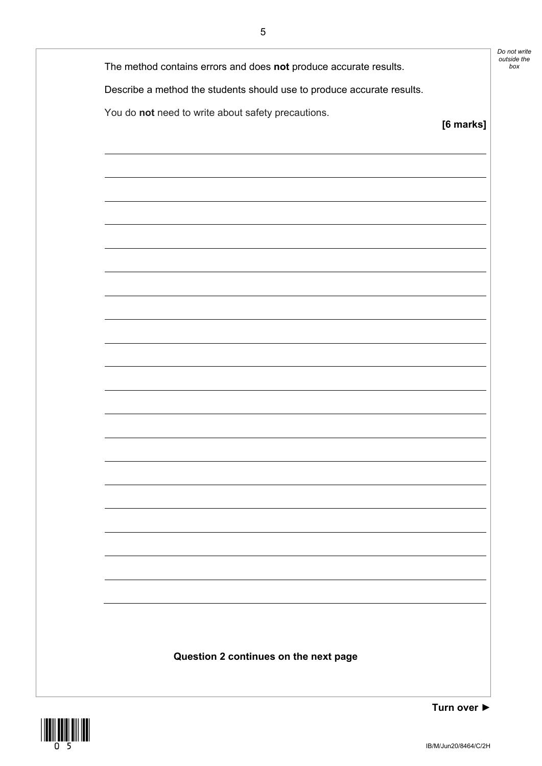| Do not write |
|--------------|
| outside the  |
| box          |

The method contains errors and does not produce accurate results.

Describe a method the students should use to produce accurate results.

You do **not** need to write about safety precautions.

**Question 2 continues on the next page**

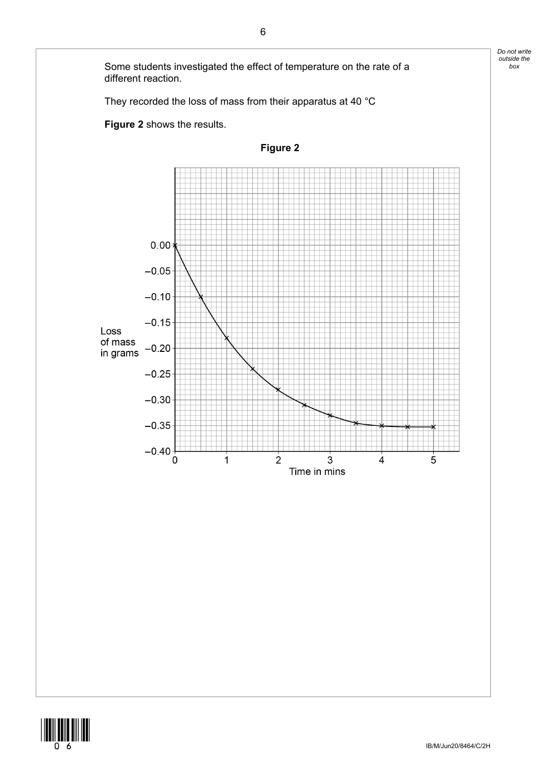

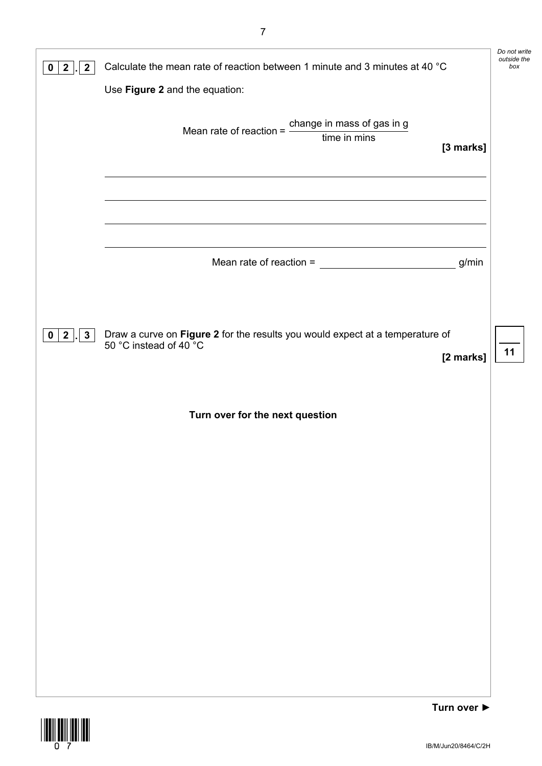| $\mathbf{2}$<br>$\mathbf 2$<br>o         | Calculate the mean rate of reaction between 1 minute and 3 minutes at 40 °C                             |             | Do not write<br>outside the<br>box |
|------------------------------------------|---------------------------------------------------------------------------------------------------------|-------------|------------------------------------|
|                                          | Use Figure 2 and the equation:                                                                          |             |                                    |
|                                          | Mean rate of reaction = $\frac{\text{change in mass of gas in g}}{\text{time in mins}}$                 | [3 marks]   |                                    |
|                                          |                                                                                                         |             |                                    |
|                                          | Mean rate of reaction = $\frac{1}{2}$                                                                   | g/min       |                                    |
|                                          |                                                                                                         |             |                                    |
| $2 \mid$<br>$\mathbf{3}$<br>$\mathbf{0}$ | Draw a curve on Figure 2 for the results you would expect at a temperature of<br>50 °C instead of 40 °C | [2 marks]   | 11                                 |
|                                          | Turn over for the next question                                                                         |             |                                    |
|                                          |                                                                                                         |             |                                    |
|                                          |                                                                                                         |             |                                    |
|                                          |                                                                                                         |             |                                    |
|                                          |                                                                                                         |             |                                    |
|                                          |                                                                                                         |             |                                    |
|                                          |                                                                                                         |             |                                    |
|                                          |                                                                                                         | Turn over ▶ |                                    |

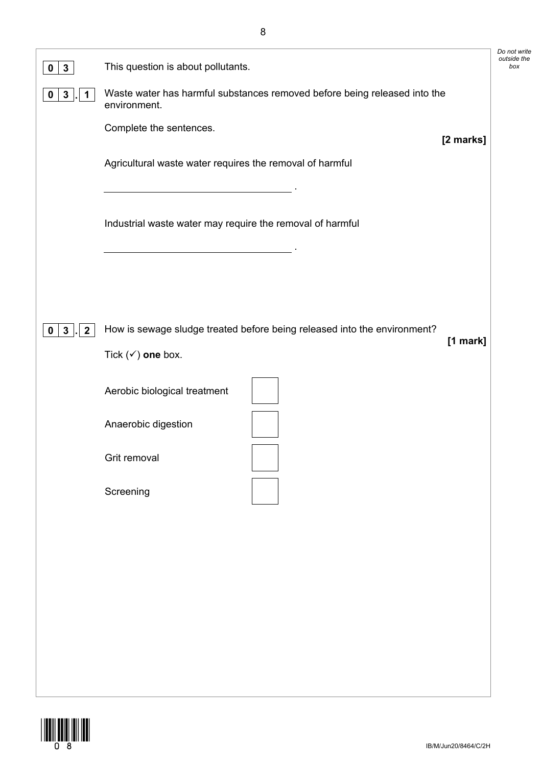| $\mathbf{3}$<br>0                                  | This question is about pollutants.                                                                                                                                                  | Do not write<br>outside the<br>box |
|----------------------------------------------------|-------------------------------------------------------------------------------------------------------------------------------------------------------------------------------------|------------------------------------|
| $\mathbf{3}$<br>$\mathbf 0$<br>$\mathbf 1$         | Waste water has harmful substances removed before being released into the<br>environment.                                                                                           |                                    |
|                                                    | Complete the sentences.<br>[2 marks]                                                                                                                                                |                                    |
|                                                    | Agricultural waste water requires the removal of harmful                                                                                                                            |                                    |
|                                                    | Industrial waste water may require the removal of harmful<br><u> 1989 - Johann Stoff, deutscher Stoffen und der Stoffen und der Stoffen und der Stoffen und der Stoffen und der</u> |                                    |
|                                                    |                                                                                                                                                                                     |                                    |
| $3\overline{3}$<br>$\boldsymbol{2}$<br>$\mathbf 0$ | How is sewage sludge treated before being released into the environment?<br>[1 mark]                                                                                                |                                    |
|                                                    | Tick $(\checkmark)$ one box.                                                                                                                                                        |                                    |
|                                                    | Aerobic biological treatment                                                                                                                                                        |                                    |
|                                                    | Anaerobic digestion                                                                                                                                                                 |                                    |
|                                                    | Grit removal                                                                                                                                                                        |                                    |
|                                                    | Screening                                                                                                                                                                           |                                    |
|                                                    |                                                                                                                                                                                     |                                    |
|                                                    |                                                                                                                                                                                     |                                    |
|                                                    |                                                                                                                                                                                     |                                    |
|                                                    |                                                                                                                                                                                     |                                    |
|                                                    |                                                                                                                                                                                     |                                    |
|                                                    |                                                                                                                                                                                     |                                    |

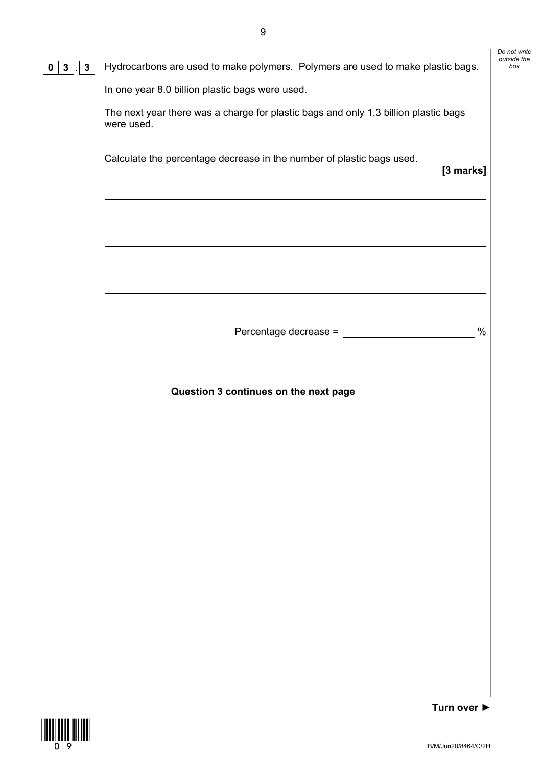| $\mathbf{3}$<br>$\mathbf{3}$<br>$\mathbf 0$ | Hydrocarbons are used to make polymers. Polymers are used to make plastic bags.                   |             |
|---------------------------------------------|---------------------------------------------------------------------------------------------------|-------------|
|                                             | In one year 8.0 billion plastic bags were used.                                                   |             |
|                                             | The next year there was a charge for plastic bags and only 1.3 billion plastic bags<br>were used. |             |
|                                             | Calculate the percentage decrease in the number of plastic bags used.                             | [3 marks]   |
|                                             |                                                                                                   |             |
|                                             |                                                                                                   |             |
|                                             |                                                                                                   |             |
|                                             |                                                                                                   | $\%$        |
|                                             |                                                                                                   |             |
|                                             | Question 3 continues on the next page                                                             |             |
|                                             |                                                                                                   |             |
|                                             |                                                                                                   |             |
|                                             |                                                                                                   |             |
|                                             |                                                                                                   |             |
|                                             |                                                                                                   |             |
|                                             |                                                                                                   |             |
|                                             |                                                                                                   |             |
|                                             |                                                                                                   |             |
|                                             |                                                                                                   |             |
|                                             |                                                                                                   | Turn over ▶ |

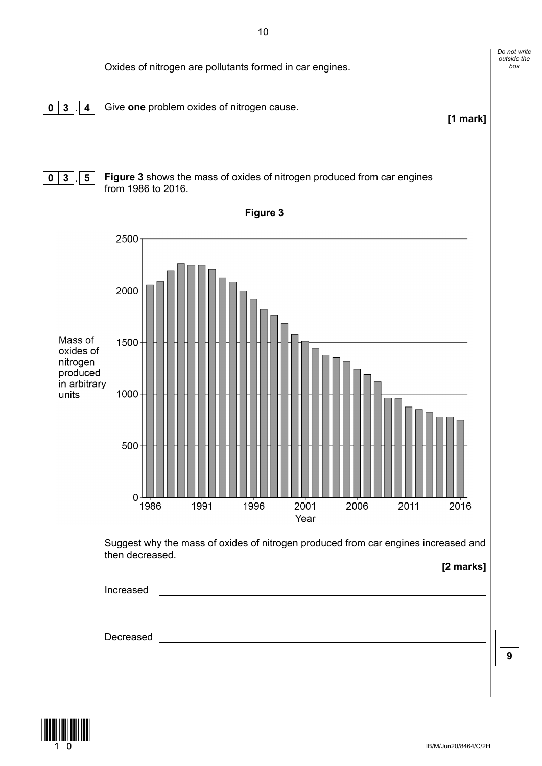

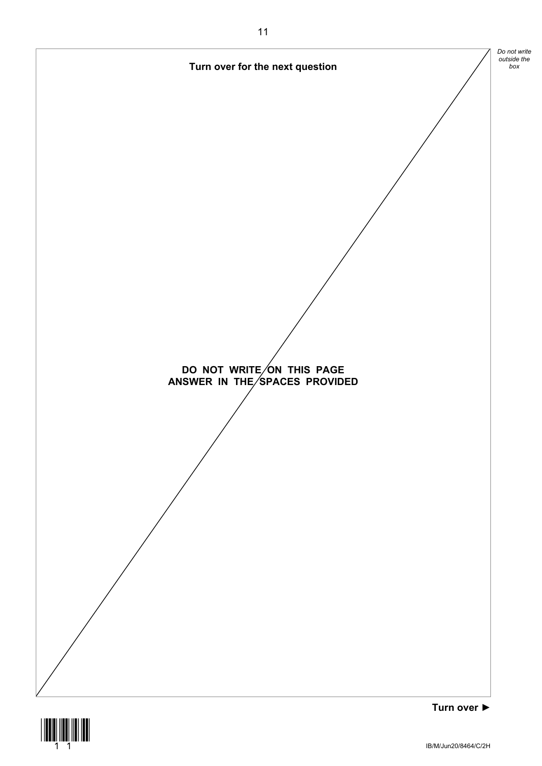

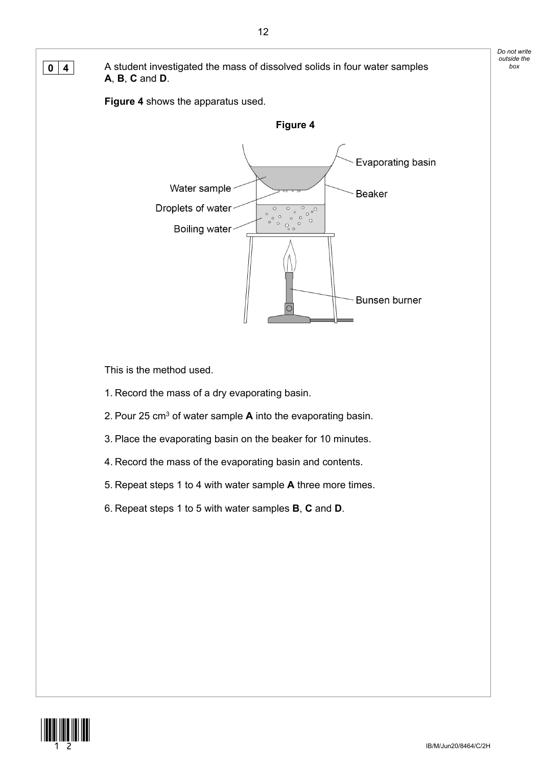**0 4** A student investigated the mass of dissolved solids in four water samples **A**, **B**, **C** and **D**.

**Figure 4** shows the apparatus used.



This is the method used.

- 1. Record the mass of a dry evaporating basin.
- 2. Pour 25 cm3 of water sample **A** into the evaporating basin.
- 3. Place the evaporating basin on the beaker for 10 minutes.
- 4. Record the mass of the evaporating basin and contents.
- 5. Repeat steps 1 to 4 with water sample **A** three more times.
- 6. Repeat steps 1 to 5 with water samples **B**, **C** and **D**.



*Do not write outside the*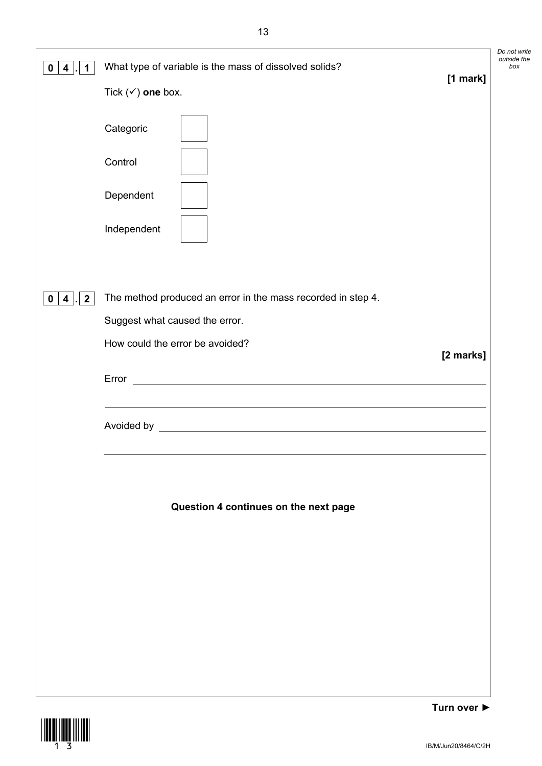| 1<br>4<br>0                                               | What type of variable is the mass of dissolved solids?<br>[1 mark]<br>Tick $(\checkmark)$ one box.<br>Categoric<br>Control<br>Dependent<br>Independent                                                                                                                            | Do not write<br>outside the<br>box |
|-----------------------------------------------------------|-----------------------------------------------------------------------------------------------------------------------------------------------------------------------------------------------------------------------------------------------------------------------------------|------------------------------------|
| 2 <sub>1</sub><br>$\overline{\mathbf{4}}$<br>$\mathbf{0}$ | The method produced an error in the mass recorded in step 4.<br>Suggest what caused the error.<br>How could the error be avoided?<br>[2 marks]<br><u> 1989 - Johann Stoff, deutscher Stoffen und der Stoffen und der Stoffen und der Stoffen und der Stoffen und der</u><br>Error |                                    |
|                                                           | Question 4 continues on the next page                                                                                                                                                                                                                                             |                                    |



**Turn over ►**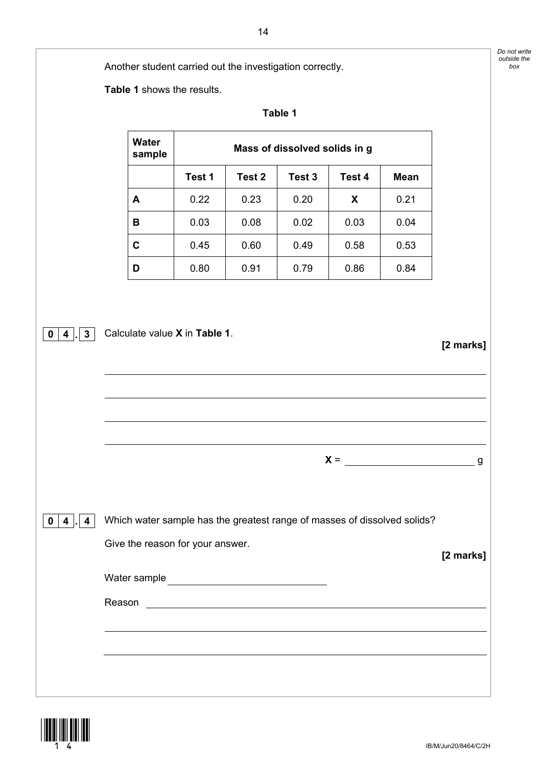*Do not write outside the* 

|                                                          | ------ |
|----------------------------------------------------------|--------|
| Another student carried out the investigation correctly. | box    |

**Table 1** shows the results.

| <b>Water</b><br>Mass of dissolved solids in g<br>sample<br>Test 1<br>Test 2<br>Test 3<br>Test 4<br><b>Mean</b><br>0.22<br>0.21<br>0.23<br>0.20<br>X<br>A<br>0.03<br>0.04<br>0.08<br>0.02<br>0.03<br>В<br>$\mathbf C$<br>0.45<br>0.60<br>0.53<br>0.49<br>0.58<br>0.80<br>0.91<br>0.86<br>0.84<br>0.79<br>D<br>Calculate value X in Table 1.<br>$0 \mid 4 \mid . \mid 3 \mid$<br>[2 marks]<br>$X =$<br>Which water sample has the greatest range of masses of dissolved solids?<br>$\mathbf{0}$<br>$4$  .<br>$\overline{\mathbf{4}}$<br>Give the reason for your answer.<br>Water sample |  |  | Table 1 |  |           |
|----------------------------------------------------------------------------------------------------------------------------------------------------------------------------------------------------------------------------------------------------------------------------------------------------------------------------------------------------------------------------------------------------------------------------------------------------------------------------------------------------------------------------------------------------------------------------------------|--|--|---------|--|-----------|
|                                                                                                                                                                                                                                                                                                                                                                                                                                                                                                                                                                                        |  |  |         |  |           |
|                                                                                                                                                                                                                                                                                                                                                                                                                                                                                                                                                                                        |  |  |         |  |           |
|                                                                                                                                                                                                                                                                                                                                                                                                                                                                                                                                                                                        |  |  |         |  |           |
|                                                                                                                                                                                                                                                                                                                                                                                                                                                                                                                                                                                        |  |  |         |  |           |
|                                                                                                                                                                                                                                                                                                                                                                                                                                                                                                                                                                                        |  |  |         |  |           |
|                                                                                                                                                                                                                                                                                                                                                                                                                                                                                                                                                                                        |  |  |         |  |           |
|                                                                                                                                                                                                                                                                                                                                                                                                                                                                                                                                                                                        |  |  |         |  |           |
|                                                                                                                                                                                                                                                                                                                                                                                                                                                                                                                                                                                        |  |  |         |  | g         |
|                                                                                                                                                                                                                                                                                                                                                                                                                                                                                                                                                                                        |  |  |         |  |           |
|                                                                                                                                                                                                                                                                                                                                                                                                                                                                                                                                                                                        |  |  |         |  | [2 marks] |
|                                                                                                                                                                                                                                                                                                                                                                                                                                                                                                                                                                                        |  |  |         |  |           |
|                                                                                                                                                                                                                                                                                                                                                                                                                                                                                                                                                                                        |  |  |         |  |           |
|                                                                                                                                                                                                                                                                                                                                                                                                                                                                                                                                                                                        |  |  |         |  |           |
|                                                                                                                                                                                                                                                                                                                                                                                                                                                                                                                                                                                        |  |  |         |  |           |

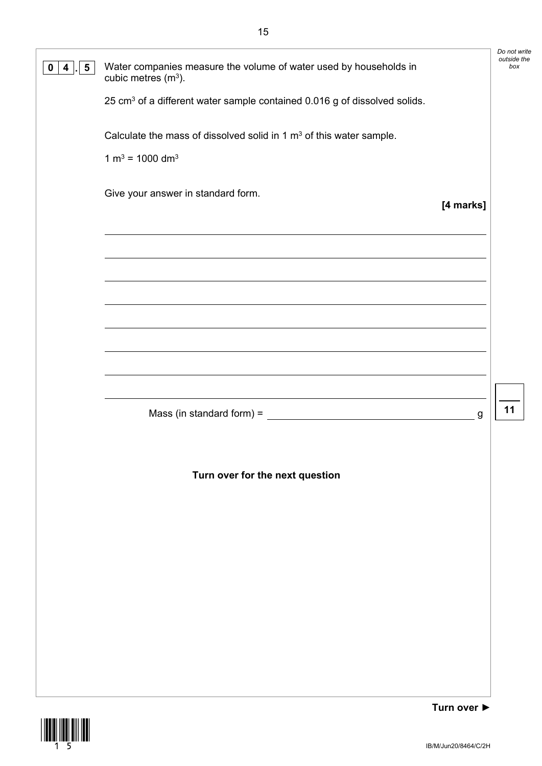| $5\overline{)}$<br>4<br>0 | Water companies measure the volume of water used by households in<br>cubic metres $(m3)$ . | Do not write<br>outside the<br>box |
|---------------------------|--------------------------------------------------------------------------------------------|------------------------------------|
|                           | 25 cm <sup>3</sup> of a different water sample contained 0.016 g of dissolved solids.      |                                    |
|                           | Calculate the mass of dissolved solid in 1 $m3$ of this water sample.                      |                                    |
|                           | $1 m3 = 1000 dm3$                                                                          |                                    |
|                           | Give your answer in standard form.<br>[4 marks]                                            |                                    |
|                           |                                                                                            |                                    |
|                           |                                                                                            |                                    |
|                           |                                                                                            |                                    |
|                           |                                                                                            |                                    |
|                           | Mass (in standard form) = $\frac{1}{2}$<br>g                                               | 11                                 |
|                           | Turn over for the next question                                                            |                                    |
|                           |                                                                                            |                                    |
|                           |                                                                                            |                                    |
|                           |                                                                                            |                                    |
|                           |                                                                                            |                                    |
|                           |                                                                                            |                                    |

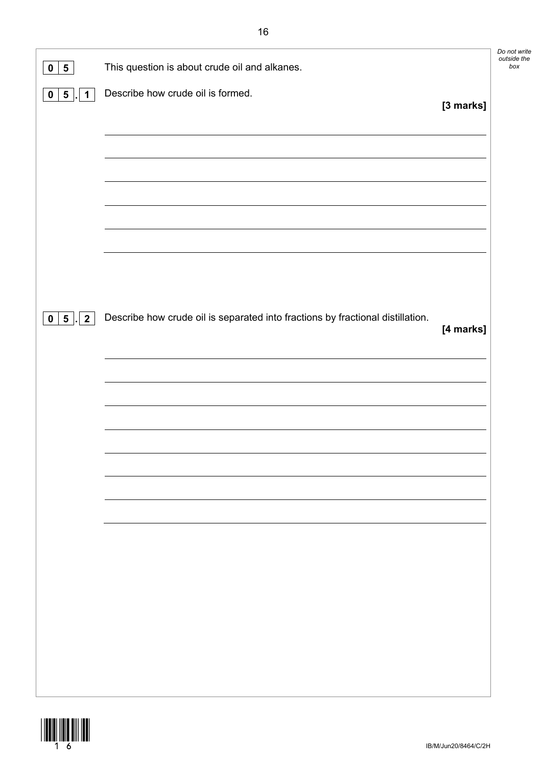| $5\phantom{.0}$<br>$\mathbf 0$                        | This question is about crude oil and alkanes.                                  | Do not write<br>outside the<br>box |
|-------------------------------------------------------|--------------------------------------------------------------------------------|------------------------------------|
| $\overline{\mathbf{5}}$<br>$\mathbf 1$<br>$\mathbf 0$ | Describe how crude oil is formed.<br>[3 marks]                                 |                                    |
|                                                       |                                                                                |                                    |
|                                                       |                                                                                |                                    |
|                                                       |                                                                                |                                    |
|                                                       |                                                                                |                                    |
|                                                       |                                                                                |                                    |
|                                                       | Describe how crude oil is separated into fractions by fractional distillation. |                                    |
| 0   5   2                                             | [4 marks]                                                                      |                                    |
|                                                       |                                                                                |                                    |
|                                                       |                                                                                |                                    |
|                                                       |                                                                                |                                    |
|                                                       |                                                                                |                                    |
|                                                       |                                                                                |                                    |
|                                                       |                                                                                |                                    |
|                                                       |                                                                                |                                    |
|                                                       |                                                                                |                                    |
|                                                       |                                                                                |                                    |
|                                                       |                                                                                |                                    |

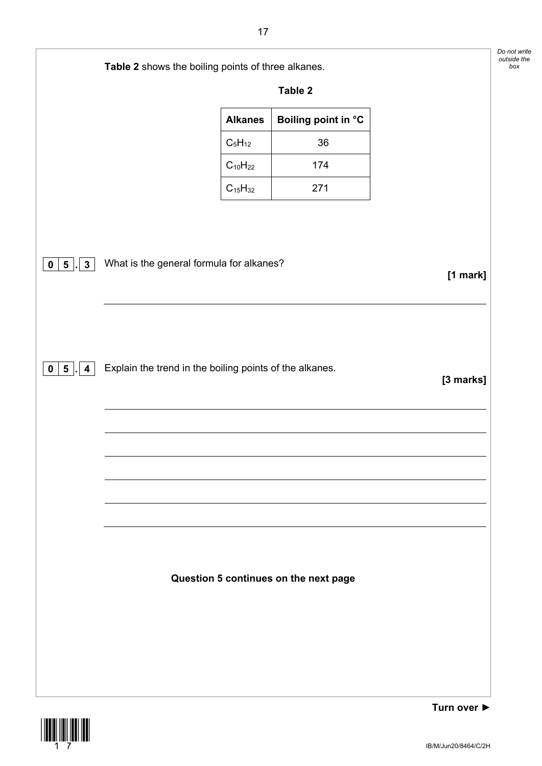|                                                | Table 2 shows the boiling points of three alkanes.      |                     |            |
|------------------------------------------------|---------------------------------------------------------|---------------------|------------|
|                                                |                                                         | Table 2             |            |
|                                                | <b>Alkanes</b>                                          | Boiling point in °C |            |
|                                                | $C_5H_{12}$                                             | 36                  |            |
|                                                | $C_{10}H_{22}$                                          | 174                 |            |
|                                                | $C_{15}H_{32}$                                          | 271                 |            |
|                                                |                                                         |                     |            |
| $\mathbf{3}$<br>$5\overline{)}$<br>$\mathbf 0$ | What is the general formula for alkanes?                |                     | $[1$ mark] |
|                                                |                                                         |                     |            |
| $0 \mid 5 \mid$<br>$\overline{\mathbf{4}}$     | Explain the trend in the boiling points of the alkanes. |                     | [3 marks]  |
|                                                |                                                         |                     |            |
|                                                |                                                         |                     |            |
|                                                |                                                         |                     |            |
|                                                |                                                         |                     |            |
|                                                |                                                         |                     |            |
|                                                | Question 5 continues on the next page                   |                     |            |
|                                                |                                                         |                     |            |
|                                                |                                                         |                     |            |



**Turn over ►**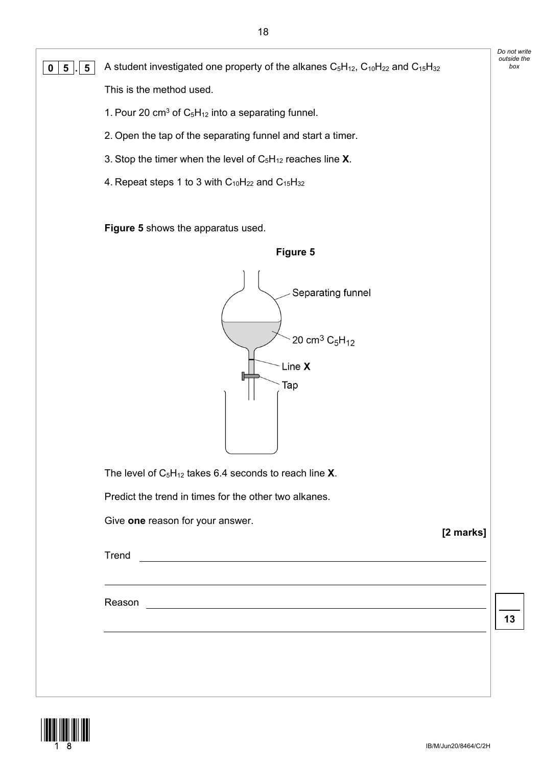| $5\phantom{.0}$<br>5<br>0 | A student investigated one property of the alkanes $C_5H_{12}$ , $C_{10}H_{22}$ and $C_{15}H_{32}$                                  | outside the<br>box |
|---------------------------|-------------------------------------------------------------------------------------------------------------------------------------|--------------------|
|                           | This is the method used.                                                                                                            |                    |
|                           | 1. Pour 20 cm <sup>3</sup> of $C_5H_{12}$ into a separating funnel.                                                                 |                    |
|                           | 2. Open the tap of the separating funnel and start a timer.                                                                         |                    |
|                           | 3. Stop the timer when the level of $C_5H_{12}$ reaches line X.                                                                     |                    |
|                           | 4. Repeat steps 1 to 3 with $C_{10}H_{22}$ and $C_{15}H_{32}$                                                                       |                    |
|                           | Figure 5 shows the apparatus used.                                                                                                  |                    |
|                           | Figure 5                                                                                                                            |                    |
|                           | Separating funnel<br>20 cm <sup>3</sup> $C_5H_{12}$<br>Line X<br>Тар<br>The level of $C_5H_{12}$ takes 6.4 seconds to reach line X. |                    |
|                           | Predict the trend in times for the other two alkanes.                                                                               |                    |
|                           | Give one reason for your answer.<br>[2 marks]                                                                                       |                    |
|                           | Trend<br><u> 1989 - Johann Barn, fransk politik amerikansk politik (d. 1989)</u>                                                    |                    |
|                           |                                                                                                                                     |                    |
|                           | Reason<br><u> 1989 - Johann Stoff, deutscher Stoffen und der Stoffen und der Stoffen und der Stoffen und der Stoffen und der</u>    |                    |
|                           |                                                                                                                                     | 13                 |
|                           |                                                                                                                                     |                    |
|                           |                                                                                                                                     |                    |
|                           |                                                                                                                                     |                    |



*Do not write*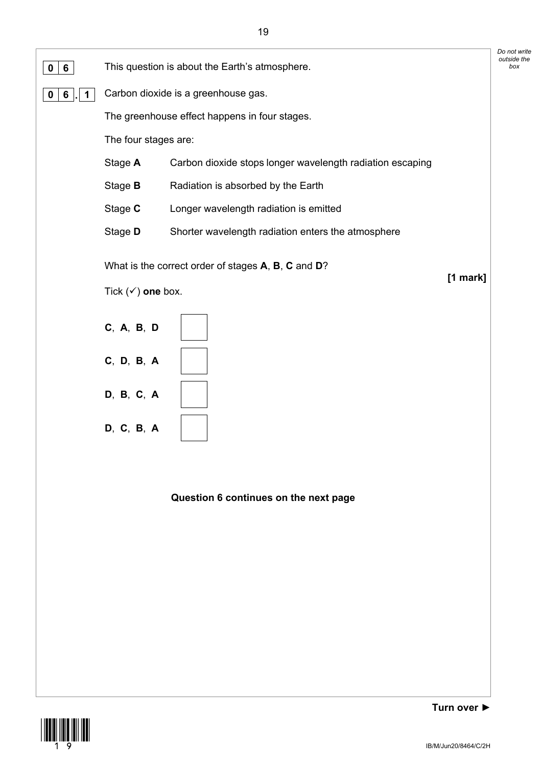

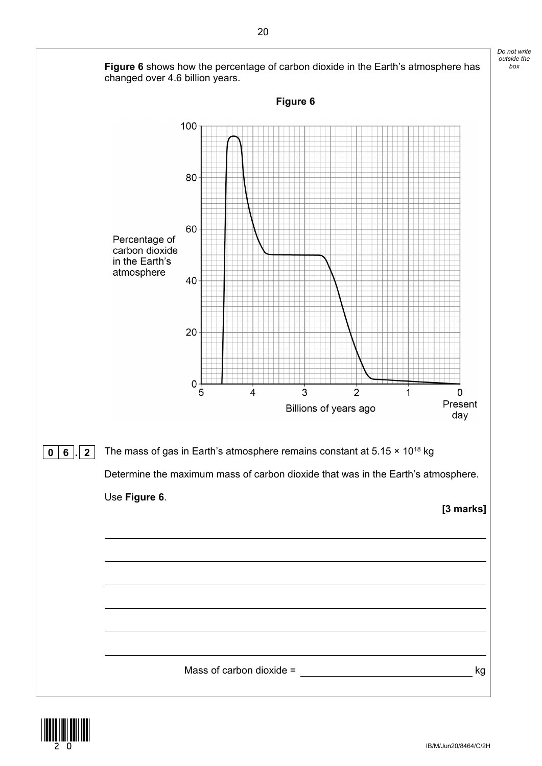

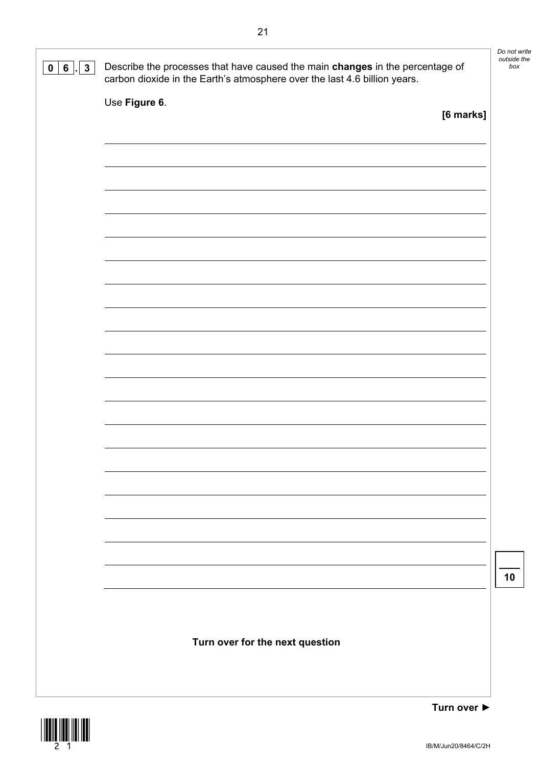| $\mathbf{3}$<br>$6^{\circ}$<br>$\mathbf 0$ | Describe the processes that have caused the main changes in the percentage of<br>carbon dioxide in the Earth's atmosphere over the last 4.6 billion years. | Do not write<br>outside the<br>box |
|--------------------------------------------|------------------------------------------------------------------------------------------------------------------------------------------------------------|------------------------------------|
|                                            | Use Figure 6.<br>[6 marks]                                                                                                                                 |                                    |
|                                            |                                                                                                                                                            |                                    |
|                                            |                                                                                                                                                            |                                    |
|                                            |                                                                                                                                                            |                                    |
|                                            |                                                                                                                                                            |                                    |
|                                            |                                                                                                                                                            |                                    |
|                                            |                                                                                                                                                            |                                    |
|                                            |                                                                                                                                                            |                                    |
|                                            |                                                                                                                                                            |                                    |
|                                            |                                                                                                                                                            |                                    |
|                                            |                                                                                                                                                            | 10                                 |
|                                            |                                                                                                                                                            |                                    |
|                                            | Turn over for the next question                                                                                                                            |                                    |
|                                            |                                                                                                                                                            |                                    |



**Turn over ►**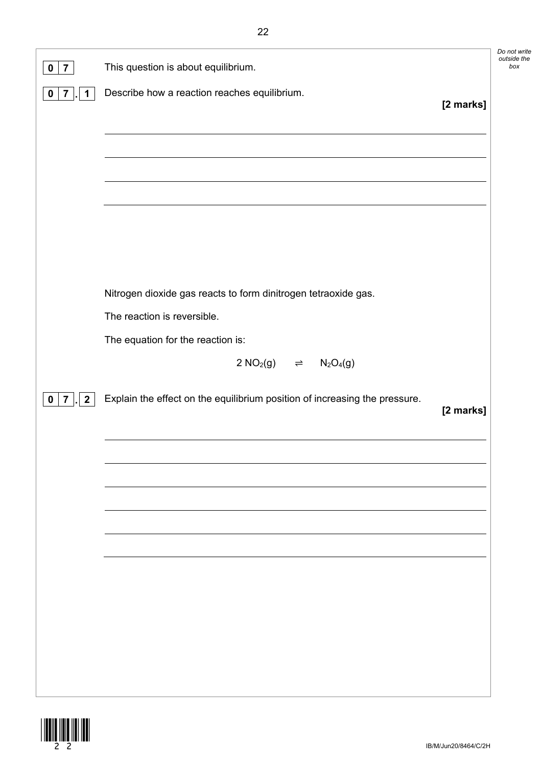| $\overline{7}$<br>$\mathbf 0$                   | This question is about equilibrium.                                        | Do not<br>outside |
|-------------------------------------------------|----------------------------------------------------------------------------|-------------------|
| $\overline{7}$<br>$\mathbf 1$<br>$\mathbf 0$    | Describe how a reaction reaches equilibrium.                               | [2 marks]         |
|                                                 |                                                                            |                   |
|                                                 |                                                                            |                   |
|                                                 |                                                                            |                   |
|                                                 |                                                                            |                   |
|                                                 |                                                                            |                   |
|                                                 |                                                                            |                   |
|                                                 | Nitrogen dioxide gas reacts to form dinitrogen tetraoxide gas.             |                   |
|                                                 | The reaction is reversible.                                                |                   |
|                                                 | The equation for the reaction is:                                          |                   |
|                                                 | $2 NO2(g)$ $\Rightarrow$ $N2O4(g)$                                         |                   |
|                                                 |                                                                            |                   |
| $\overline{2}$<br>7 <sup>1</sup><br>$\mathbf 0$ | Explain the effect on the equilibrium position of increasing the pressure. |                   |
|                                                 |                                                                            | [2 marks]         |
|                                                 |                                                                            |                   |
|                                                 |                                                                            |                   |
|                                                 |                                                                            |                   |
|                                                 |                                                                            |                   |
|                                                 |                                                                            |                   |
|                                                 |                                                                            |                   |
|                                                 |                                                                            |                   |
|                                                 |                                                                            |                   |
|                                                 |                                                                            |                   |



*Do not write outside the*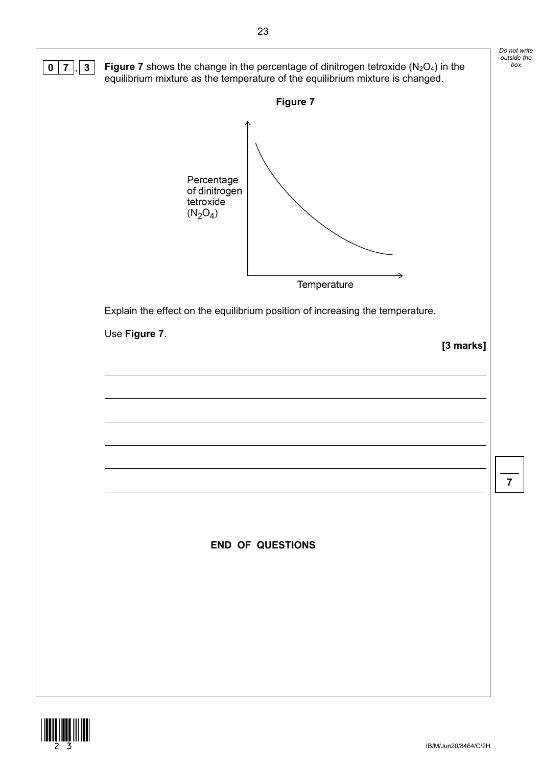

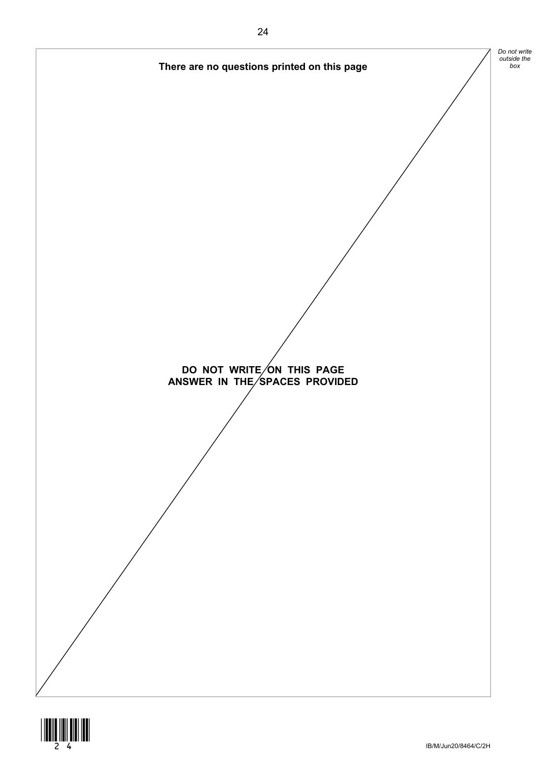

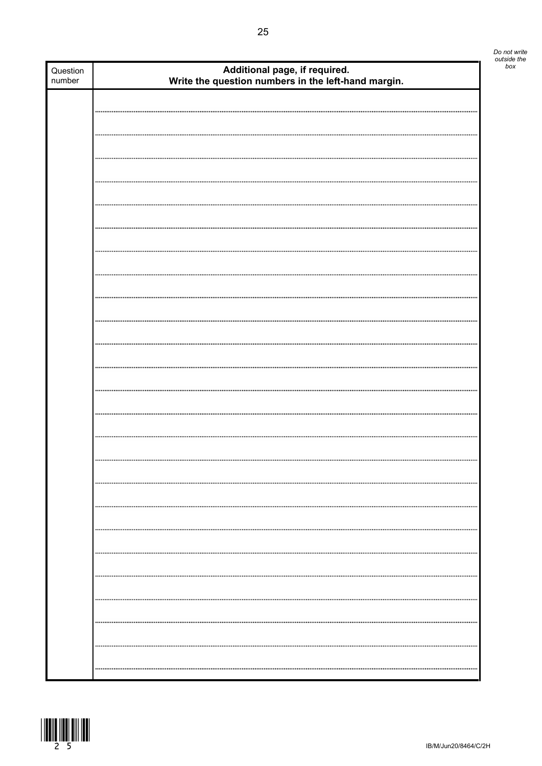|            | Do not write<br>outside the |
|------------|-----------------------------|
| nd margin. | box                         |
|            |                             |
|            |                             |
|            |                             |
|            |                             |

| Question<br>number | Additional page, if required.<br>Write the question numbers in the left-hand margin. |
|--------------------|--------------------------------------------------------------------------------------|
|                    |                                                                                      |
|                    |                                                                                      |
|                    |                                                                                      |
|                    |                                                                                      |
|                    |                                                                                      |
|                    |                                                                                      |
|                    |                                                                                      |
|                    |                                                                                      |
|                    |                                                                                      |
|                    |                                                                                      |
|                    |                                                                                      |
|                    |                                                                                      |
|                    |                                                                                      |
|                    |                                                                                      |
|                    |                                                                                      |
|                    |                                                                                      |
|                    |                                                                                      |
|                    |                                                                                      |
|                    |                                                                                      |
|                    |                                                                                      |
|                    |                                                                                      |
|                    |                                                                                      |
|                    |                                                                                      |
|                    |                                                                                      |
|                    |                                                                                      |
|                    |                                                                                      |
|                    |                                                                                      |
|                    |                                                                                      |
|                    |                                                                                      |
|                    |                                                                                      |
|                    |                                                                                      |
|                    |                                                                                      |
|                    |                                                                                      |
|                    |                                                                                      |
|                    |                                                                                      |
|                    |                                                                                      |
|                    |                                                                                      |
|                    |                                                                                      |
|                    |                                                                                      |
|                    |                                                                                      |
|                    |                                                                                      |
|                    |                                                                                      |
|                    |                                                                                      |
|                    |                                                                                      |
|                    |                                                                                      |

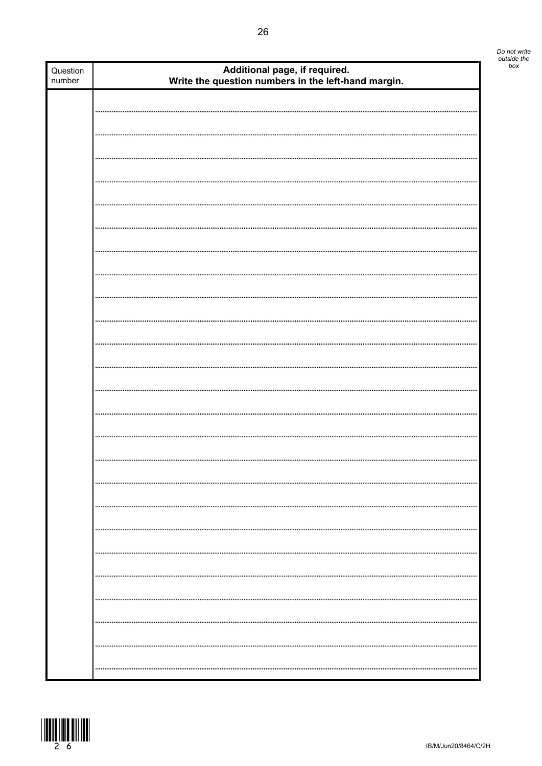| Question<br>number | Additional page, if required.<br>Write the question numbers in the left-hand margin. |  |
|--------------------|--------------------------------------------------------------------------------------|--|
|                    |                                                                                      |  |
|                    |                                                                                      |  |
|                    |                                                                                      |  |
|                    |                                                                                      |  |
|                    |                                                                                      |  |
|                    |                                                                                      |  |
|                    |                                                                                      |  |
|                    |                                                                                      |  |
|                    |                                                                                      |  |
|                    |                                                                                      |  |
|                    |                                                                                      |  |
|                    |                                                                                      |  |
|                    |                                                                                      |  |
|                    |                                                                                      |  |
|                    |                                                                                      |  |
|                    |                                                                                      |  |
|                    |                                                                                      |  |
|                    |                                                                                      |  |
|                    |                                                                                      |  |
|                    |                                                                                      |  |
|                    |                                                                                      |  |
|                    |                                                                                      |  |
|                    |                                                                                      |  |
|                    |                                                                                      |  |
|                    |                                                                                      |  |
|                    |                                                                                      |  |
|                    |                                                                                      |  |
|                    |                                                                                      |  |
|                    |                                                                                      |  |
|                    |                                                                                      |  |
|                    |                                                                                      |  |
|                    |                                                                                      |  |
|                    |                                                                                      |  |
|                    |                                                                                      |  |
|                    |                                                                                      |  |
|                    |                                                                                      |  |
|                    |                                                                                      |  |
|                    |                                                                                      |  |



Π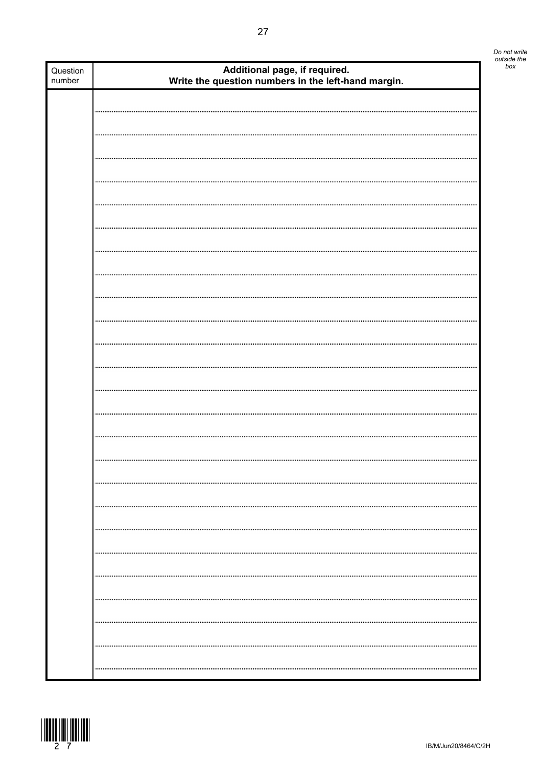| Question<br>number | Additional page, if required.<br>Write the question numbers in the left-hand margin. | bo |
|--------------------|--------------------------------------------------------------------------------------|----|
|                    |                                                                                      |    |
|                    |                                                                                      |    |
|                    |                                                                                      |    |
|                    |                                                                                      |    |
|                    |                                                                                      |    |
|                    |                                                                                      |    |
|                    |                                                                                      |    |
|                    |                                                                                      |    |
|                    |                                                                                      |    |
|                    |                                                                                      |    |
|                    |                                                                                      |    |
|                    |                                                                                      |    |
|                    |                                                                                      |    |
|                    |                                                                                      |    |
|                    |                                                                                      |    |
|                    |                                                                                      |    |
|                    |                                                                                      |    |
|                    |                                                                                      |    |
|                    |                                                                                      |    |
|                    |                                                                                      |    |
|                    |                                                                                      |    |
|                    |                                                                                      |    |
|                    |                                                                                      |    |
|                    |                                                                                      |    |
|                    |                                                                                      |    |
|                    |                                                                                      |    |
|                    |                                                                                      |    |
|                    |                                                                                      |    |
|                    |                                                                                      |    |
|                    |                                                                                      |    |
|                    |                                                                                      |    |
|                    |                                                                                      |    |
|                    |                                                                                      |    |
|                    |                                                                                      |    |